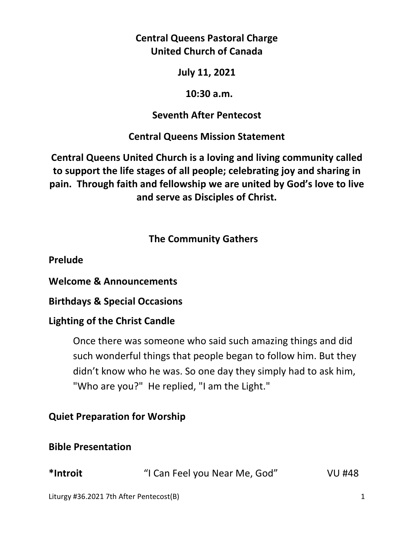## **Central Queens Pastoral Charge United Church of Canada**

### **July 11, 2021**

#### **10:30 a.m.**

### **Seventh After Pentecost**

## **Central Queens Mission Statement**

**Central Queens United Church is a loving and living community called to support the life stages of all people; celebrating joy and sharing in pain. Through faith and fellowship we are united by God's love to live and serve as Disciples of Christ.**

## **The Community Gathers**

**Prelude** 

**Welcome & Announcements** 

**Birthdays & Special Occasions** 

## **Lighting of the Christ Candle**

Once there was someone who said such amazing things and did such wonderful things that people began to follow him. But they didn't know who he was. So one day they simply had to ask him, "Who are you?" He replied, "I am the Light."

## **Quiet Preparation for Worship**

## **Bible Presentation**

| *Introit | "I Can Feel you Near Me, God" | <b>VU #48</b> |
|----------|-------------------------------|---------------|
|----------|-------------------------------|---------------|

Liturgy #36.2021 7th After Pentecost(B) 1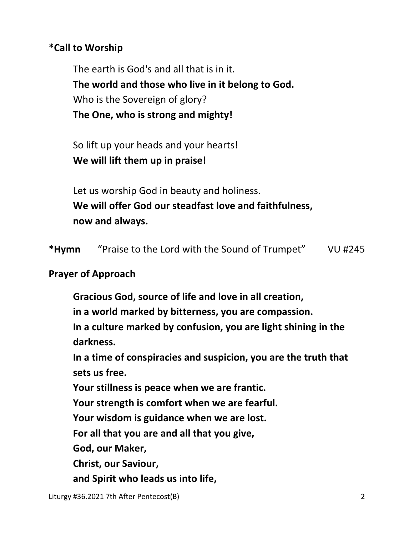## **\*Call to Worship**

The earth is God's and all that is in it.  **The world and those who live in it belong to God.**  Who is the Sovereign of glory?  **The One, who is strong and mighty!** 

 So lift up your heads and your hearts!  **We will lift them up in praise!** 

 Let us worship God in beauty and holiness.  **We will offer God our steadfast love and faithfulness, now and always.** 

**\*Hymn** "Praise to the Lord with the Sound of Trumpet" VU #245

### **Prayer of Approach**

 **Gracious God, source of life and love in all creation,** 

 **in a world marked by bitterness, you are compassion.** 

 **In a culture marked by confusion, you are light shining in the darkness.** 

 **In a time of conspiracies and suspicion, you are the truth that sets us free.** 

 **Your stillness is peace when we are frantic.** 

 **Your strength is comfort when we are fearful.** 

 **Your wisdom is guidance when we are lost.** 

 **For all that you are and all that you give,** 

 **God, our Maker,** 

 **Christ, our Saviour,** 

 **and Spirit who leads us into life,**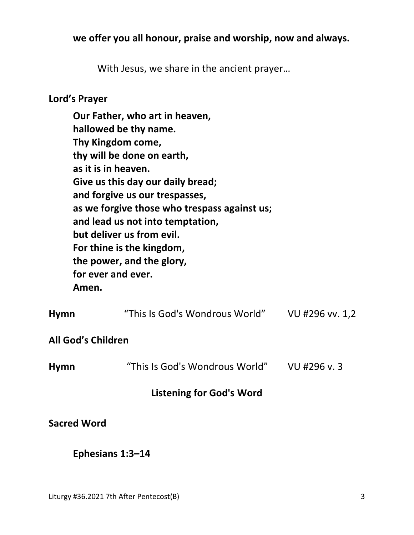### **we offer you all honour, praise and worship, now and always.**

With Jesus, we share in the ancient prayer…

#### **Lord's Prayer**

**Our Father, who art in heaven, hallowed be thy name. Thy Kingdom come, thy will be done on earth, as it is in heaven. Give us this day our daily bread; and forgive us our trespasses, as we forgive those who trespass against us; and lead us not into temptation, but deliver us from evil. For thine is the kingdom, the power, and the glory, for ever and ever. Amen.** 

| <b>Listening for God's Word</b> |                                |                 |  |  |
|---------------------------------|--------------------------------|-----------------|--|--|
| <b>Hymn</b>                     | "This Is God's Wondrous World" | VU #296 v.3     |  |  |
| All God's Children              |                                |                 |  |  |
| <b>Hymn</b>                     | "This Is God's Wondrous World" | VU #296 vv. 1,2 |  |  |

#### **Sacred Word**

#### **Ephesians 1:3–14**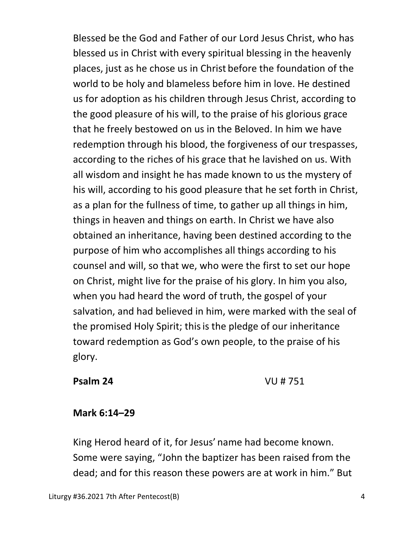Blessed be the God and Father of our Lord Jesus Christ, who has blessed us in Christ with every spiritual blessing in the heavenly places, just as he chose us in Christ before the foundation of the world to be holy and blameless before him in love. He destined us for adoption as his children through Jesus Christ, according to the good pleasure of his will, to the praise of his glorious grace that he freely bestowed on us in the Beloved. In him we have redemption through his blood, the forgiveness of our trespasses, according to the riches of his grace that he lavished on us. With all wisdom and insight he has made known to us the mystery of his will, according to his good pleasure that he set forth in Christ, as a plan for the fullness of time, to gather up all things in him, things in heaven and things on earth. In Christ we have also obtained an inheritance, having been destined according to the purpose of him who accomplishes all things according to his counsel and will, so that we, who were the first to set our hope on Christ, might live for the praise of his glory. In him you also, when you had heard the word of truth, the gospel of your salvation, and had believed in him, were marked with the seal of the promised Holy Spirit; thisis the pledge of our inheritance toward redemption as God's own people, to the praise of his glory.

### **Psalm 24** VU # 751

### **Mark 6:14–29**

 King Herod heard of it, for Jesus' name had become known. Some were saying, "John the baptizer has been raised from the dead; and for this reason these powers are at work in him." But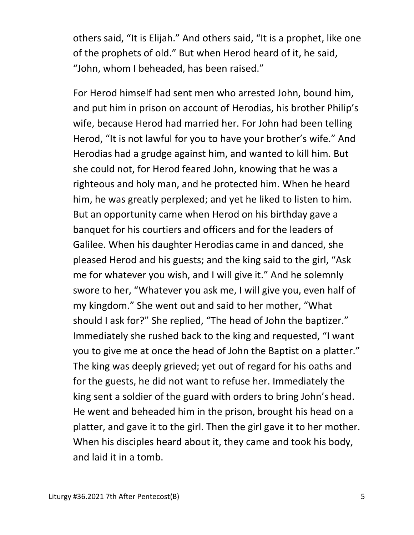others said, "It is Elijah." And others said, "It is a prophet, like one of the prophets of old." But when Herod heard of it, he said, "John, whom I beheaded, has been raised."

For Herod himself had sent men who arrested John, bound him, and put him in prison on account of Herodias, his brother Philip's wife, because Herod had married her. For John had been telling Herod, "It is not lawful for you to have your brother's wife." And Herodias had a grudge against him, and wanted to kill him. But she could not, for Herod feared John, knowing that he was a righteous and holy man, and he protected him. When he heard him, he was greatly perplexed; and yet he liked to listen to him. But an opportunity came when Herod on his birthday gave a banquet for his courtiers and officers and for the leaders of Galilee. When his daughter Herodias came in and danced, she pleased Herod and his guests; and the king said to the girl, "Ask me for whatever you wish, and I will give it." And he solemnly swore to her, "Whatever you ask me, I will give you, even half of my kingdom." She went out and said to her mother, "What should I ask for?" She replied, "The head of John the baptizer." Immediately she rushed back to the king and requested, "I want you to give me at once the head of John the Baptist on a platter." The king was deeply grieved; yet out of regard for his oaths and for the guests, he did not want to refuse her. Immediately the king sent a soldier of the guard with orders to bring John's head. He went and beheaded him in the prison, brought his head on a platter, and gave it to the girl. Then the girl gave it to her mother. When his disciples heard about it, they came and took his body, and laid it in a tomb.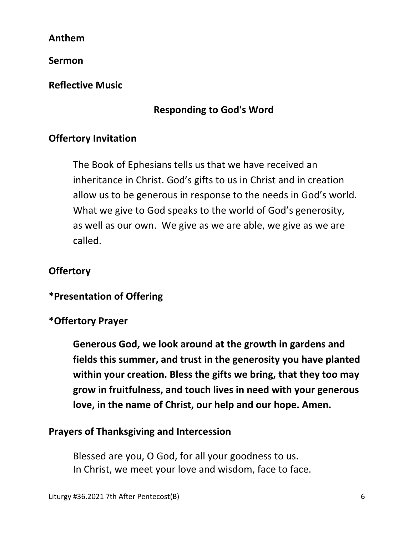**Anthem**

**Sermon** 

**Reflective Music** 

# **Responding to God's Word**

# **Offertory Invitation**

The Book of Ephesians tells us that we have received an inheritance in Christ. God's gifts to us in Christ and in creation allow us to be generous in response to the needs in God's world. What we give to God speaks to the world of God's generosity, as well as our own. We give as we are able, we give as we are called.

# **Offertory**

# **\*Presentation of Offering**

# **\*Offertory Prayer**

**Generous God, we look around at the growth in gardens and fields this summer, and trust in the generosity you have planted within your creation. Bless the gifts we bring, that they too may grow in fruitfulness, and touch lives in need with your generous love, in the name of Christ, our help and our hope. Amen.** 

## **Prayers of Thanksgiving and Intercession**

 Blessed are you, O God, for all your goodness to us. In Christ, we meet your love and wisdom, face to face.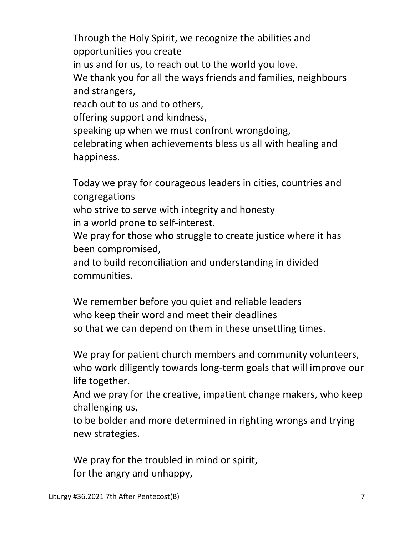Through the Holy Spirit, we recognize the abilities and opportunities you create in us and for us, to reach out to the world you love. We thank you for all the ways friends and families, neighbours and strangers, reach out to us and to others, offering support and kindness, speaking up when we must confront wrongdoing, celebrating when achievements bless us all with healing and happiness.

 Today we pray for courageous leaders in cities, countries and congregations

 who strive to serve with integrity and honesty in a world prone to self-interest.

 We pray for those who struggle to create justice where it has been compromised,

 and to build reconciliation and understanding in divided communities.

 We remember before you quiet and reliable leaders who keep their word and meet their deadlines so that we can depend on them in these unsettling times.

 We pray for patient church members and community volunteers, who work diligently towards long-term goals that will improve our life together.

 And we pray for the creative, impatient change makers, who keep challenging us,

 to be bolder and more determined in righting wrongs and trying new strategies.

We pray for the troubled in mind or spirit, for the angry and unhappy,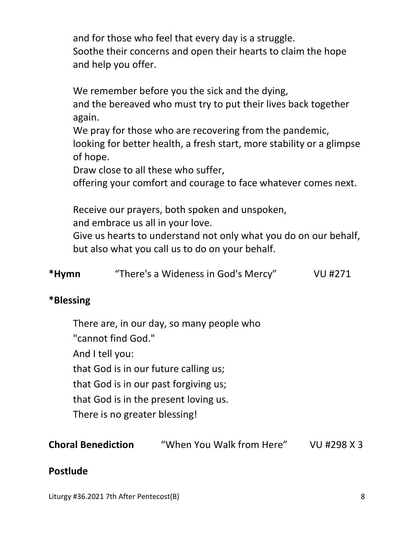and for those who feel that every day is a struggle. Soothe their concerns and open their hearts to claim the hope and help you offer.

We remember before you the sick and the dying,

 and the bereaved who must try to put their lives back together again.

 We pray for those who are recovering from the pandemic, looking for better health, a fresh start, more stability or a glimpse of hope.

Draw close to all these who suffer,

offering your comfort and courage to face whatever comes next.

Receive our prayers, both spoken and unspoken,

and embrace us all in your love.

 Give us hearts to understand not only what you do on our behalf, but also what you call us to do on your behalf.

|  | *Hymn | "There's a Wideness in God's Mercy" | VU #271 |
|--|-------|-------------------------------------|---------|
|--|-------|-------------------------------------|---------|

# **\*Blessing**

There are, in our day, so many people who

"cannot find God."

And I tell you:

that God is in our future calling us;

that God is in our past forgiving us;

that God is in the present loving us.

There is no greater blessing!

**Choral Benediction** "When You Walk from Here" VU #298 X 3

## **Postlude**

Liturgy #36.2021 7th After Pentecost(B) 8